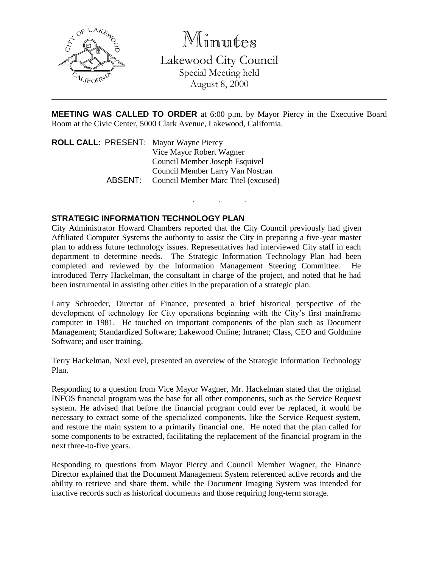

Minutes

Lakewood City Council Special Meeting held August 8, 2000

**MEETING WAS CALLED TO ORDER** at 6:00 p.m. by Mayor Piercy in the Executive Board Room at the Civic Center, 5000 Clark Avenue, Lakewood, California.

. . .

**ROLL CALL**: PRESENT: Mayor Wayne Piercy Vice Mayor Robert Wagner Council Member Joseph Esquivel Council Member Larry Van Nostran ABSENT: Council Member Marc Titel (excused)

## **STRATEGIC INFORMATION TECHNOLOGY PLAN**

City Administrator Howard Chambers reported that the City Council previously had given Affiliated Computer Systems the authority to assist the City in preparing a five-year master plan to address future technology issues. Representatives had interviewed City staff in each department to determine needs. The Strategic Information Technology Plan had been completed and reviewed by the Information Management Steering Committee. He introduced Terry Hackelman, the consultant in charge of the project, and noted that he had been instrumental in assisting other cities in the preparation of a strategic plan.

Larry Schroeder, Director of Finance, presented a brief historical perspective of the development of technology for City operations beginning with the City's first mainframe computer in 1981. He touched on important components of the plan such as Document Management; Standardized Software; Lakewood Online; Intranet; Class, CEO and Goldmine Software; and user training.

Terry Hackelman, NexLevel, presented an overview of the Strategic Information Technology Plan.

Responding to a question from Vice Mayor Wagner, Mr. Hackelman stated that the original INFO\$ financial program was the base for all other components, such as the Service Request system. He advised that before the financial program could ever be replaced, it would be necessary to extract some of the specialized components, like the Service Request system, and restore the main system to a primarily financial one. He noted that the plan called for some components to be extracted, facilitating the replacement of the financial program in the next three-to-five years.

Responding to questions from Mayor Piercy and Council Member Wagner, the Finance Director explained that the Document Management System referenced active records and the ability to retrieve and share them, while the Document Imaging System was intended for inactive records such as historical documents and those requiring long-term storage.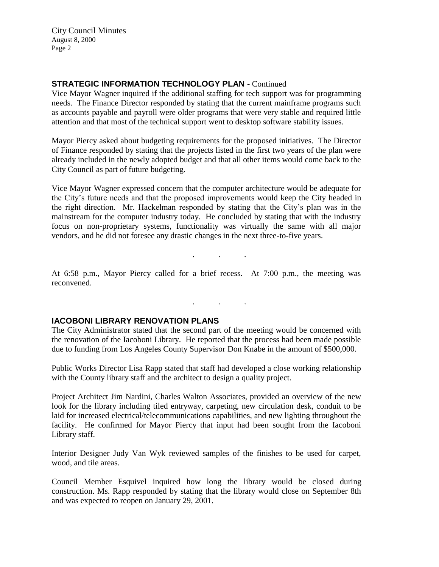City Council Minutes August 8, 2000 Page 2

## **STRATEGIC INFORMATION TECHNOLOGY PLAN** - Continued

Vice Mayor Wagner inquired if the additional staffing for tech support was for programming needs. The Finance Director responded by stating that the current mainframe programs such as accounts payable and payroll were older programs that were very stable and required little attention and that most of the technical support went to desktop software stability issues.

Mayor Piercy asked about budgeting requirements for the proposed initiatives. The Director of Finance responded by stating that the projects listed in the first two years of the plan were already included in the newly adopted budget and that all other items would come back to the City Council as part of future budgeting.

Vice Mayor Wagner expressed concern that the computer architecture would be adequate for the City's future needs and that the proposed improvements would keep the City headed in the right direction. Mr. Hackelman responded by stating that the City's plan was in the mainstream for the computer industry today. He concluded by stating that with the industry focus on non-proprietary systems, functionality was virtually the same with all major vendors, and he did not foresee any drastic changes in the next three-to-five years.

At 6:58 p.m., Mayor Piercy called for a brief recess. At 7:00 p.m., the meeting was reconvened.

. . .

. . .

## **IACOBONI LIBRARY RENOVATION PLANS**

The City Administrator stated that the second part of the meeting would be concerned with the renovation of the Iacoboni Library. He reported that the process had been made possible due to funding from Los Angeles County Supervisor Don Knabe in the amount of \$500,000.

Public Works Director Lisa Rapp stated that staff had developed a close working relationship with the County library staff and the architect to design a quality project.

Project Architect Jim Nardini, Charles Walton Associates, provided an overview of the new look for the library including tiled entryway, carpeting, new circulation desk, conduit to be laid for increased electrical/telecommunications capabilities, and new lighting throughout the facility. He confirmed for Mayor Piercy that input had been sought from the Iacoboni Library staff.

Interior Designer Judy Van Wyk reviewed samples of the finishes to be used for carpet, wood, and tile areas.

Council Member Esquivel inquired how long the library would be closed during construction. Ms. Rapp responded by stating that the library would close on September 8th and was expected to reopen on January 29, 2001.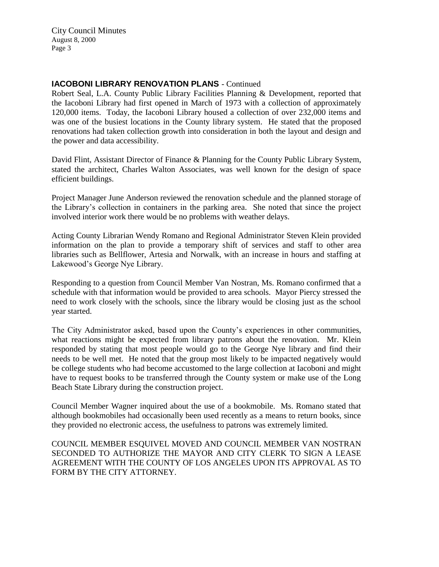City Council Minutes August 8, 2000 Page 3

#### **IACOBONI LIBRARY RENOVATION PLANS** - Continued

Robert Seal, L.A. County Public Library Facilities Planning & Development, reported that the Iacoboni Library had first opened in March of 1973 with a collection of approximately 120,000 items. Today, the Iacoboni Library housed a collection of over 232,000 items and was one of the busiest locations in the County library system. He stated that the proposed renovations had taken collection growth into consideration in both the layout and design and the power and data accessibility.

David Flint, Assistant Director of Finance & Planning for the County Public Library System, stated the architect, Charles Walton Associates, was well known for the design of space efficient buildings.

Project Manager June Anderson reviewed the renovation schedule and the planned storage of the Library's collection in containers in the parking area. She noted that since the project involved interior work there would be no problems with weather delays.

Acting County Librarian Wendy Romano and Regional Administrator Steven Klein provided information on the plan to provide a temporary shift of services and staff to other area libraries such as Bellflower, Artesia and Norwalk, with an increase in hours and staffing at Lakewood's George Nye Library.

Responding to a question from Council Member Van Nostran, Ms. Romano confirmed that a schedule with that information would be provided to area schools. Mayor Piercy stressed the need to work closely with the schools, since the library would be closing just as the school year started.

The City Administrator asked, based upon the County's experiences in other communities, what reactions might be expected from library patrons about the renovation. Mr. Klein responded by stating that most people would go to the George Nye library and find their needs to be well met. He noted that the group most likely to be impacted negatively would be college students who had become accustomed to the large collection at Iacoboni and might have to request books to be transferred through the County system or make use of the Long Beach State Library during the construction project.

Council Member Wagner inquired about the use of a bookmobile. Ms. Romano stated that although bookmobiles had occasionally been used recently as a means to return books, since they provided no electronic access, the usefulness to patrons was extremely limited.

COUNCIL MEMBER ESQUIVEL MOVED AND COUNCIL MEMBER VAN NOSTRAN SECONDED TO AUTHORIZE THE MAYOR AND CITY CLERK TO SIGN A LEASE AGREEMENT WITH THE COUNTY OF LOS ANGELES UPON ITS APPROVAL AS TO FORM BY THE CITY ATTORNEY.